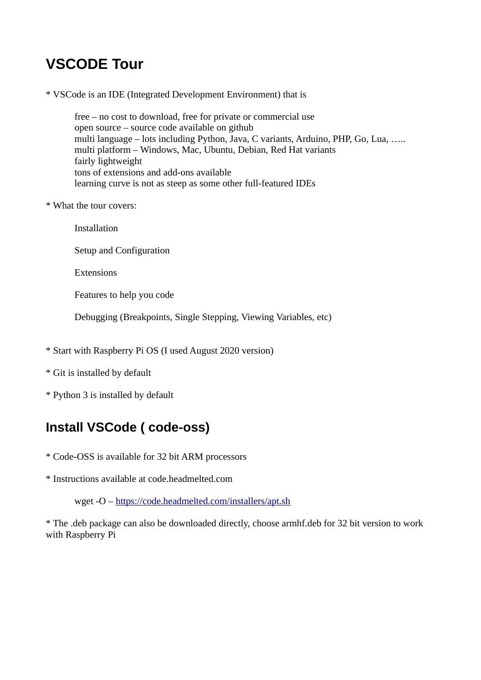# **VSCODE Tour**

\* VSCode is an IDE (Integrated Development Environment) that is

free – no cost to download, free for private or commercial use open source – source code available on github multi language – lots including Python, Java, C variants, Arduino, PHP, Go, Lua, ….. multi platform – Windows, Mac, Ubuntu, Debian, Red Hat variants fairly lightweight tons of extensions and add-ons available learning curve is not as steep as some other full-featured IDEs

- \* What the tour covers:
	- Installation
	- Setup and Configuration
	- **Extensions**

Features to help you code

Debugging (Breakpoints, Single Stepping, Viewing Variables, etc)

- \* Start with Raspberry Pi OS (I used August 2020 version)
- \* Git is installed by default
- \* Python 3 is installed by default

## **Install VSCode ( code-oss)**

- \* Code-OSS is available for 32 bit ARM processors
- \* Instructions available at code.headmelted.com

wget -O –<https://code.headmelted.com/installers/apt.sh>

\* The .deb package can also be downloaded directly, choose armhf.deb for 32 bit version to work with Raspberry Pi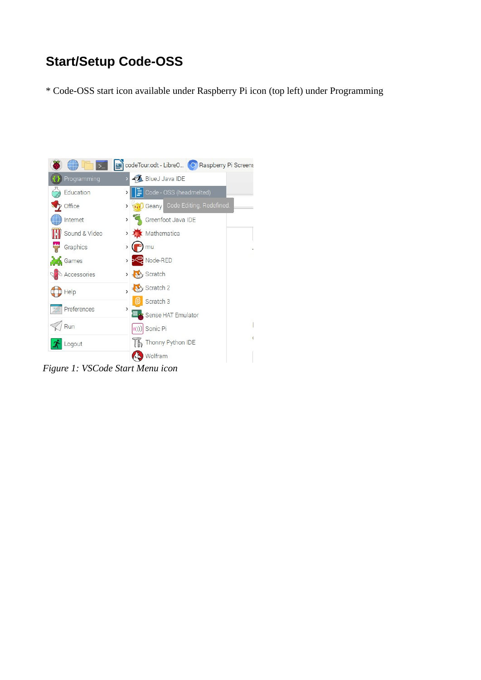## **Start/Setup Code-OSS**

\* Code-OSS start icon available under Raspberry Pi icon (top left) under Programming



*Figure 1: VSCode Start Menu icon*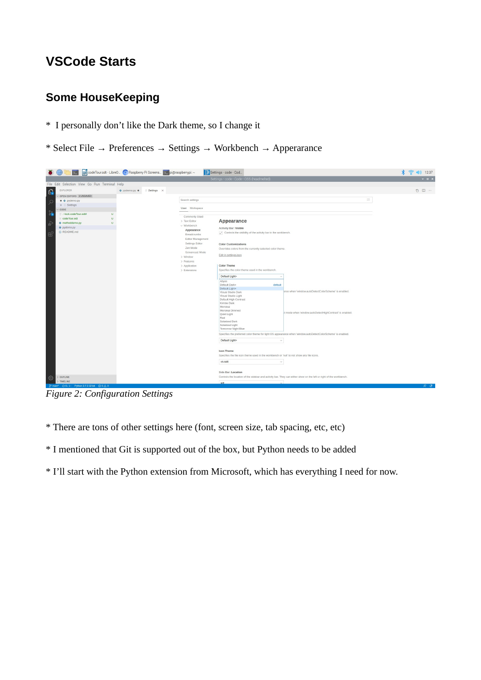## **VSCode Starts**

### **Some HouseKeeping**

- \* I personally don't like the Dark theme, so I change it
- \* Select File  $\rightarrow$  Preferences  $\rightarrow$  Settings  $\rightarrow$  Workbench  $\rightarrow$  Apperarance



*Figure 2: Configuration Settings*

- \* There are tons of other settings here (font, screen size, tab spacing, etc, etc)
- \* I mentioned that Git is supported out of the box, but Python needs to be added
- \* I'll start with the Python extension from Microsoft, which has everything I need for now.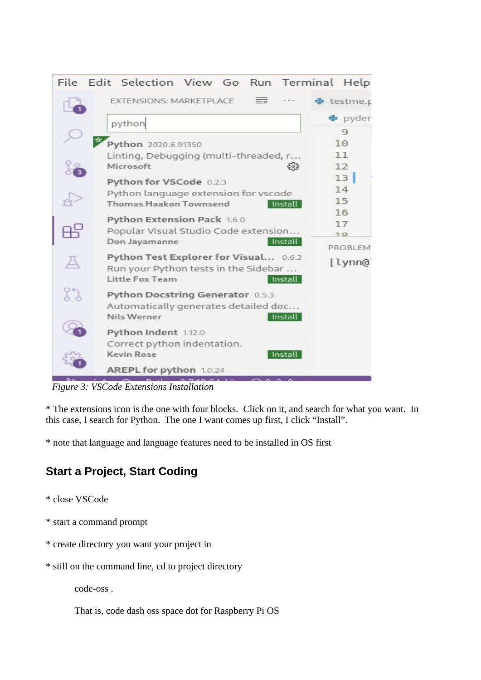

*Figure 3: VSCode Extensions Installation*

\* The extensions icon is the one with four blocks. Click on it, and search for what you want. In this case, I search for Python. The one I want comes up first, I click "Install".

\* note that language and language features need to be installed in OS first

### **Start a Project, Start Coding**

- \* close VSCode
- \* start a command prompt
- \* create directory you want your project in
- \* still on the command line, cd to project directory

code-oss .

That is, code dash oss space dot for Raspberry Pi OS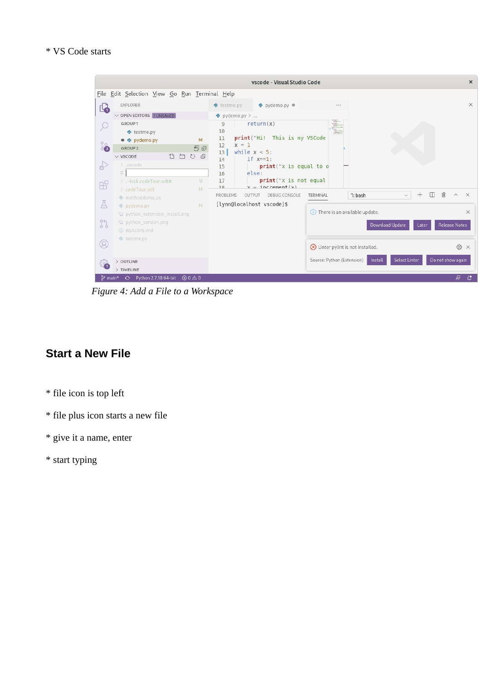#### \* VS Code starts



*Figure 4: Add a File to a Workspace*

#### **Start a New File**

- \* file icon is top left
- \* file plus icon starts a new file
- \* give it a name, enter
- \* start typing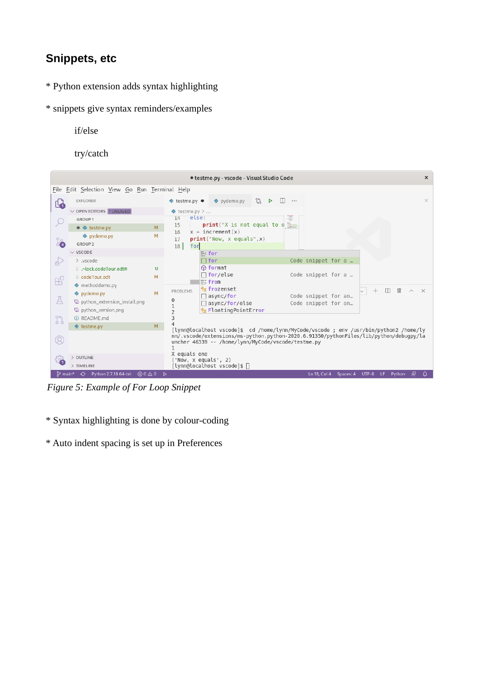### **Snippets, etc**

- \* Python extension adds syntax highlighting
- \* snippets give syntax reminders/examples
	- if/else

try/catch



*Figure 5: Example of For Loop Snippet*

- \* Syntax highlighting is done by colour-coding
- \* Auto indent spacing is set up in Preferences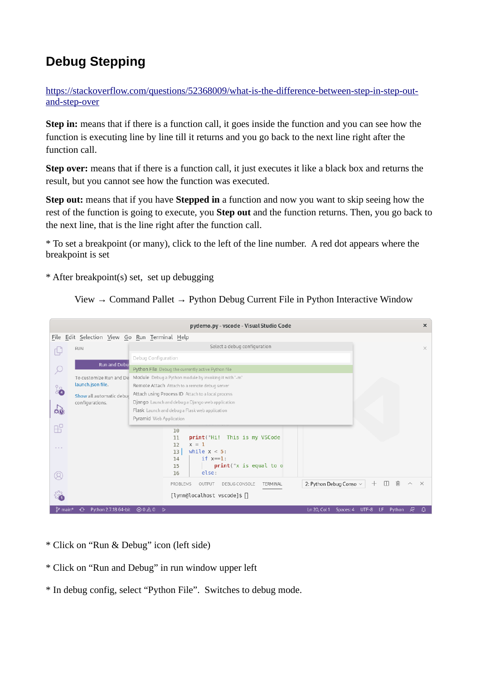## **Debug Stepping**

[https://stackoverflow.com/questions/52368009/what-is-the-difference-between-step-in-step-out](https://stackoverflow.com/questions/52368009/what-is-the-difference-between-step-in-step-out-and-step-over)[and-step-over](https://stackoverflow.com/questions/52368009/what-is-the-difference-between-step-in-step-out-and-step-over)

**Step in:** means that if there is a function call, it goes inside the function and you can see how the function is executing line by line till it returns and you go back to the next line right after the function call.

**Step over:** means that if there is a function call, it just executes it like a black box and returns the result, but you cannot see how the function was executed.

**Step out:** means that if you have **Stepped in** a function and now you want to skip seeing how the rest of the function is going to execute, you **Step out** and the function returns. Then, you go back to the next line, that is the line right after the function call.

\* To set a breakpoint (or many), click to the left of the line number. A red dot appears where the breakpoint is set

\* After breakpoint(s) set, set up debugging

View  $\rightarrow$  Command Pallet  $\rightarrow$  Python Debug Current File in Python Interactive Window

| pydemo.py - vscode - Visual Studio Code       |                                             |                                                                                                    |                                               |  |  |  |  |  |  |
|-----------------------------------------------|---------------------------------------------|----------------------------------------------------------------------------------------------------|-----------------------------------------------|--|--|--|--|--|--|
| File Edit Selection View Go Run Terminal Help |                                             |                                                                                                    |                                               |  |  |  |  |  |  |
|                                               | <b>RUN</b>                                  | $\times$                                                                                           |                                               |  |  |  |  |  |  |
|                                               |                                             | Debug Configuration                                                                                |                                               |  |  |  |  |  |  |
| $\varphi$                                     | Run and Debu                                | Python File Debug the currently active Python file                                                 |                                               |  |  |  |  |  |  |
|                                               | To customize Run and De                     | Module Debug a Python module by invoking it with '-m'                                              |                                               |  |  |  |  |  |  |
| ိခဲ                                           | launch.json file.                           | Remote Attach Attach to a remote debug server<br>Attach using Process ID Attach to a local process |                                               |  |  |  |  |  |  |
|                                               | Show all automatic debuc<br>configurations. |                                                                                                    |                                               |  |  |  |  |  |  |
| $\mathbf{a}_0$                                |                                             |                                                                                                    |                                               |  |  |  |  |  |  |
|                                               |                                             |                                                                                                    |                                               |  |  |  |  |  |  |
| $\mathbb{B}^{\mathbb{C}}$                     |                                             | 10                                                                                                 |                                               |  |  |  |  |  |  |
|                                               |                                             | This is my VSCode<br>print("Hi!<br>11<br>$x = 1$<br>12                                             |                                               |  |  |  |  |  |  |
| $\alpha$ , $\alpha$ , $\alpha$                |                                             | while $x < 5$ :<br>13                                                                              |                                               |  |  |  |  |  |  |
|                                               |                                             | if $x == 1$ :<br>14<br>print("x is equal to o)<br>15                                               |                                               |  |  |  |  |  |  |
| Q                                             |                                             | else:<br>16                                                                                        |                                               |  |  |  |  |  |  |
|                                               |                                             | 2: Python Debug Conso $\vee$<br>PROBLEMS<br>DEBUG CONSOLE<br>OUTPUT<br>TERMINAL                    | 侕<br>$\Box$<br>$^{+}$<br>$\times$<br>$\wedge$ |  |  |  |  |  |  |
|                                               |                                             | [lynn@localhost vscode]\$ ∏                                                                        |                                               |  |  |  |  |  |  |
| ያ main <sup>®</sup>                           | Python 2.7.18 64-bit<br>$\odot$             | $\otimes$ 0 $\triangle$ 0 $\otimes$<br>Ln 20, Col 1<br>Spaces: 4                                   | 灵<br>UTF-8<br>LF.<br>Python<br><b></b>        |  |  |  |  |  |  |
|                                               |                                             |                                                                                                    |                                               |  |  |  |  |  |  |

- \* Click on "Run & Debug" icon (left side)
- \* Click on "Run and Debug" in run window upper left
- \* In debug config, select "Python File". Switches to debug mode.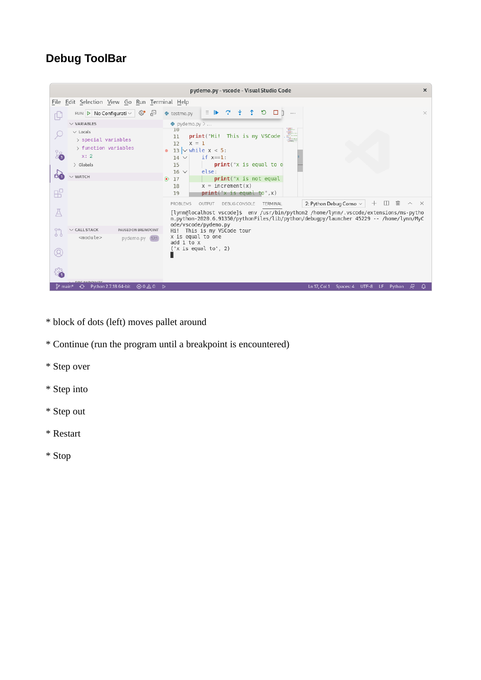### **Debug ToolBar**



- \* block of dots (left) moves pallet around
- \* Continue (run the program until a breakpoint is encountered)
- \* Step over
- \* Step into
- \* Step out
- \* Restart
- \* Stop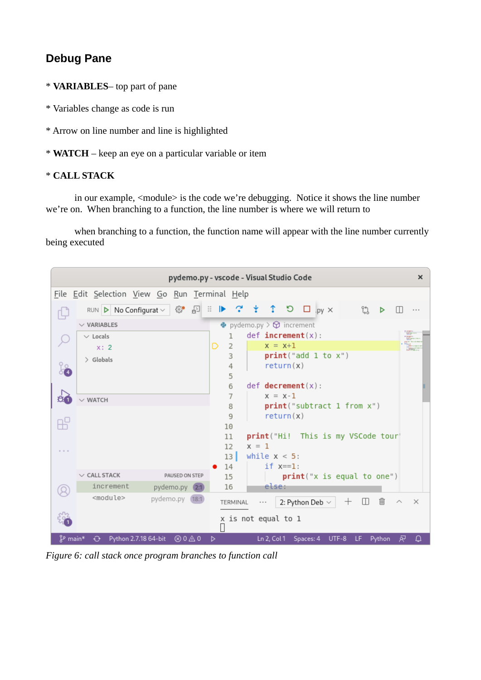### **Debug Pane**

- \* **VARIABLES** top part of pane
- \* Variables change as code is run
- \* Arrow on line number and line is highlighted
- \* **WATCH** keep an eye on a particular variable or item

#### \* **CALL STACK**

in our example, <module> is the code we're debugging. Notice it shows the line number we're on. When branching to a function, the line number is where we will return to

when branching to a function, the function name will appear with the line number currently being executed

| pydemo.py - vscode - Visual Studio Code                                                                                      |                                                     |                             |                       |                                                          |                 |  |  |
|------------------------------------------------------------------------------------------------------------------------------|-----------------------------------------------------|-----------------------------|-----------------------|----------------------------------------------------------|-----------------|--|--|
| File Edit Selection View Go Run Terminal Help                                                                                |                                                     |                             |                       |                                                          |                 |  |  |
|                                                                                                                              | RUN $\triangleright$ No Configurat $\triangleright$ | $\mathbb{I}^*$<br>€್ಲಿ<br>表 | $\blacktriangleright$ | $\uparrow$ 5 $\Box$ py $\times$<br>G3<br>∵∗              |                 |  |  |
|                                                                                                                              | $\vee$ VARIABLES                                    |                             |                       | $\bullet$ pydemo.py > $\circledcirc$ increment           |                 |  |  |
|                                                                                                                              | $\vee$ Locals                                       |                             | 1                     | $def$ increment(x):                                      | <b>Chairman</b> |  |  |
|                                                                                                                              | x: 2                                                |                             | $\overline{2}$<br>D   | $x = x+1$                                                |                 |  |  |
|                                                                                                                              | $\ge$ Globals                                       |                             | 3                     | print("add 1 to x")                                      |                 |  |  |
| နဲ                                                                                                                           |                                                     |                             | 4                     | return(x)                                                |                 |  |  |
|                                                                                                                              |                                                     |                             | 5                     |                                                          |                 |  |  |
|                                                                                                                              |                                                     |                             | 6                     | $def$ <b>decrement</b> $(x)$ :                           |                 |  |  |
| 80                                                                                                                           | WATCH                                               |                             | 7                     | $x = x-1$                                                |                 |  |  |
|                                                                                                                              |                                                     |                             | 8                     | print("subtract 1 from x")                               |                 |  |  |
|                                                                                                                              |                                                     |                             | 9<br>10               | return(x)                                                |                 |  |  |
|                                                                                                                              |                                                     |                             | 11                    | print("Hi! This is my VSCode tour'                       |                 |  |  |
|                                                                                                                              |                                                     |                             | 12                    | $x = 1$                                                  |                 |  |  |
| $1 - 1 - 1$                                                                                                                  |                                                     |                             | 13                    | while $x < 5$ :                                          |                 |  |  |
|                                                                                                                              |                                                     |                             | 14                    | if $x == 1$ :                                            |                 |  |  |
|                                                                                                                              | $\vee$ CALL STACK                                   | PAUSED ON STEP              | 15                    | print("x is equal to one")                               |                 |  |  |
|                                                                                                                              | increment                                           | pydemo.py (2:1)             | 16                    | else:                                                    |                 |  |  |
|                                                                                                                              | <module></module>                                   | pydemo.py (18:1)            | TERMINAL              | 侕<br>2: Python Deb $\vee$<br>$\pm$<br>Ш<br>∧<br>$\cdots$ | $\times$        |  |  |
|                                                                                                                              | x is not equal to 1                                 |                             |                       |                                                          |                 |  |  |
| <sup>8</sup> main*<br>⊚ ⊙ ∆ 0<br>Python 2.7.18 64-bit<br>Ln 2, Col 1 Spaces: 4<br>UTF-8 LF Python<br>尽<br>Ф<br>$\Theta$<br>D |                                                     |                             |                       |                                                          |                 |  |  |

*Figure 6: call stack once program branches to function call*